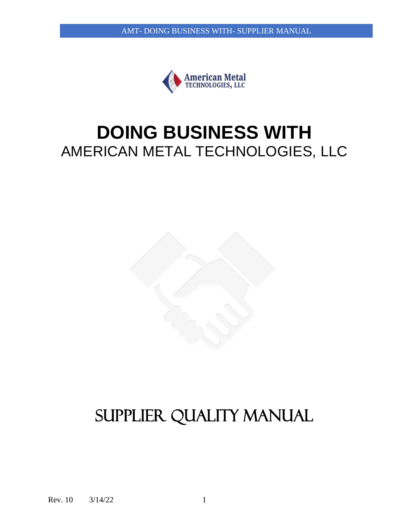

# **DOING BUSINESS WITH** AMERICAN METAL TECHNOLOGIES, LLC



# SUPPLIER QUALITY MANUAL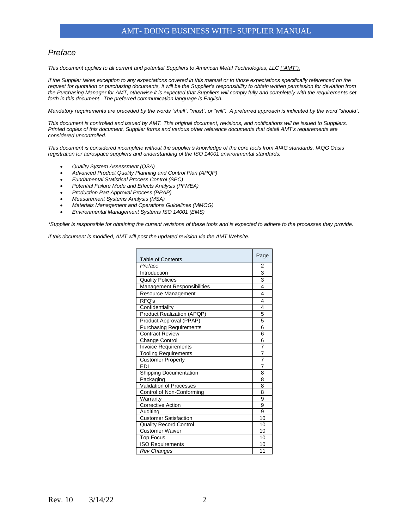### AMT- DOING BUSINESS WITH- SUPPLIER MANUAL

### *Preface*

*This document applies to all current and potential Suppliers to American Metal Technologies, LLC ("AMT").*

*If the Supplier takes exception to any expectations covered in this manual or to those expectations specifically referenced on the request for quotation or purchasing documents, it will be the Supplier's responsibility to obtain written permission for deviation from the Purchasing Manager for AMT, otherwise it is expected that Suppliers will comply fully and completely with the requirements set forth in this document. The preferred communication language is English.*

*Mandatory requirements are preceded by the words "shall", "must", or "will". A preferred approach is indicated by the word "should".* 

*This document is controlled and issued by AMT. This original document, revisions, and notifications will be issued to Suppliers. Printed copies of this document, Supplier forms and various other reference documents that detail AMT's requirements are considered uncontrolled.* 

*This document is considered incomplete without the supplier's knowledge of the core tools from AIAG standards, IAQG Oasis registration for aerospace suppliers and understanding of the ISO 14001 environmental standards.*

- *Quality System Assessment (QSA)*
- *Advanced Product Quality Planning and Control Plan (APQP)*
- *Fundamental Statistical Process Control (SPC)*
- *Potential Failure Mode and Effects Analysis (PFMEA)*
- *Production Part Approval Process (PPAP)*
- *Measurement Systems Analysis (MSA)*
- *Materials Management and Operations Guidelines (MMOG)*
- *Environmental Management Systems ISO 14001 (EMS)*

*\*Supplier is responsible for obtaining the current revisions of these tools and is expected to adhere to the processes they provide.* 

*If this document is modified, AMT will post the updated revision via the AMT Website.*

| <b>Table of Contents</b>          | Page                |  |  |
|-----------------------------------|---------------------|--|--|
| Preface                           |                     |  |  |
| Introduction                      |                     |  |  |
| <b>Quality Policies</b>           |                     |  |  |
| Management Responsibilities       |                     |  |  |
| Resource Management               |                     |  |  |
| RFQ's                             |                     |  |  |
| Confidentiality                   | 4                   |  |  |
| <b>Product Realization (APQP)</b> | 5                   |  |  |
| Product Approval (PPAP)           | 5                   |  |  |
| <b>Purchasing Requirements</b>    | 6                   |  |  |
| <b>Contract Review</b>            | 6                   |  |  |
| Change Control                    | 6                   |  |  |
| <b>Invoice Requirements</b>       | 7<br>$\overline{7}$ |  |  |
| <b>Tooling Requirements</b>       |                     |  |  |
| <b>Customer Property</b>          |                     |  |  |
| <b>FDI</b>                        | $\overline{7}$      |  |  |
| <b>Shipping Documentation</b>     |                     |  |  |
| Packaging                         |                     |  |  |
| Validation of Processes           | 8                   |  |  |
| Control of Non-Conforming         | 8                   |  |  |
| Warranty                          |                     |  |  |
| <b>Corrective Action</b>          | 9                   |  |  |
| Auditing                          | 9                   |  |  |
| <b>Customer Satisfaction</b>      | 10<br>10            |  |  |
| <b>Quality Record Control</b>     |                     |  |  |
| <b>Customer Waiver</b>            |                     |  |  |
| <b>Top Focus</b>                  |                     |  |  |
| <b>ISO Requirements</b>           |                     |  |  |
| Rev Changes                       |                     |  |  |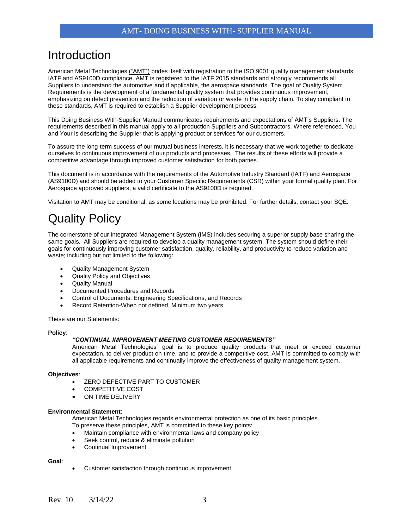### Introduction

American Metal Technologies ("AMT") prides itself with registration to the ISO 9001 quality management standards, IATF and AS9100D compliance. AMT is registered to the IATF 2015 standards and strongly recommends all Suppliers to understand the automotive and if applicable, the aerospace standards. The goal of Quality System Requirements is the development of a fundamental quality system that provides continuous improvement, emphasizing on defect prevention and the reduction of variation or waste in the supply chain. To stay compliant to these standards, AMT is required to establish a Supplier development process.

This Doing Business With-Supplier Manual communicates requirements and expectations of AMT's Suppliers. The requirements described in this manual apply to all production Suppliers and Subcontractors. Where referenced, You and Your is describing the Supplier that is applying product or services for our customers.

To assure the long-term success of our mutual business interests, it is necessary that we work together to dedicate ourselves to continuous improvement of our products and processes. The results of these efforts will provide a competitive advantage through improved customer satisfaction for both parties.

This document is in accordance with the requirements of the Automotive Industry Standard (IATF) and Aerospace (AS9100D) and should be added to your Customer Specific Requirements (CSR) within your formal quality plan. For Aerospace approved suppliers, a valid certificate to the AS9100D is required.

Visitation to AMT may be conditional, as some locations may be prohibited. For further details, contact your SQE.

# Quality Policy

The cornerstone of our Integrated Management System (IMS) includes securing a superior supply base sharing the same goals. All Suppliers are required to develop a quality management system. The system should define their goals for continuously improving customer satisfaction, quality, reliability, and productivity to reduce variation and waste; including but not limited to the following:

- Quality Management System
- Quality Policy and Objectives
- Quality Manual
- Documented Procedures and Records
- Control of Documents, Engineering Specifications, and Records
- Record Retention-When not defined, Minimum two years

These are our Statements:

#### **Policy**:

#### *"CONTINUAL IMPROVEMENT MEETING CUSTOMER REQUIREMENTS"*

American Metal Technologies' goal is to produce quality products that meet or exceed customer expectation, to deliver product on time, and to provide a competitive cost. AMT is committed to comply with all applicable requirements and continually improve the effectiveness of quality management system.

#### **Objectives**:

- ZERO DEFECTIVE PART TO CUSTOMER
- COMPETITIVE COST
- ON TIME DELIVERY

#### **Environmental Statement**:

American Metal Technologies regards environmental protection as one of its basic principles.

- To preserve these principles, AMT is committed to these key points:
- Maintain compliance with environmental laws and company policy
- Seek control, reduce & eliminate pollution
- Continual Improvement

#### **Goal**:

• Customer satisfaction through continuous improvement.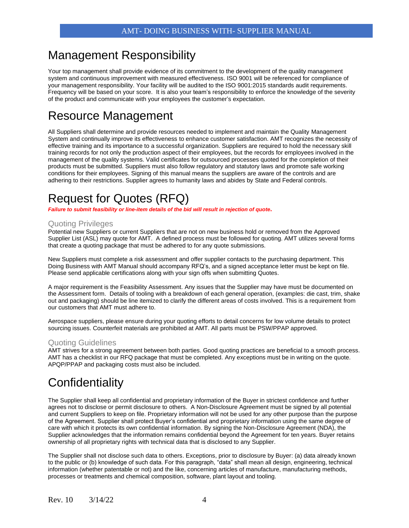### Management Responsibility

Your top management shall provide evidence of its commitment to the development of the quality management system and continuous improvement with measured effectiveness. ISO 9001 will be referenced for compliance of your management responsibility. Your facility will be audited to the ISO 9001:2015 standards audit requirements. Frequency will be based on your score. It is also your team's responsibility to enforce the knowledge of the severity of the product and communicate with your employees the customer's expectation.

### Resource Management

All Suppliers shall determine and provide resources needed to implement and maintain the Quality Management System and continually improve its effectiveness to enhance customer satisfaction. AMT recognizes the necessity of effective training and its importance to a successful organization. Suppliers are required to hold the necessary skill training records for not only the production aspect of their employees, but the records for employees involved in the management of the quality systems. Valid certificates for outsourced processes quoted for the completion of their products must be submitted. Suppliers must also follow regulatory and statutory laws and promote safe working conditions for their employees. Signing of this manual means the suppliers are aware of the controls and are adhering to their restrictions. Supplier agrees to humanity laws and abides by State and Federal controls.

# Request for Quotes (RFQ)

*Failure to submit feasibility or line-item details of the bid will result in rejection of quote***.**

### Quoting Privileges

Potential new Suppliers or current Suppliers that are not on new business hold or removed from the Approved Supplier List (ASL) may quote for AMT. A defined process must be followed for quoting. AMT utilizes several forms that create a quoting package that must be adhered to for any quote submissions.

New Suppliers must complete a risk assessment and offer supplier contacts to the purchasing department. This Doing Business with AMT Manual should accompany RFQ's, and a signed acceptance letter must be kept on file. Please send applicable certifications along with your sign offs when submitting Quotes.

A major requirement is the Feasibility Assessment. Any issues that the Supplier may have must be documented on the Assessment form. Details of tooling with a breakdown of each general operation, (examples: die cast, trim, shake out and packaging) should be line itemized to clarify the different areas of costs involved. This is a requirement from our customers that AMT must adhere to.

Aerospace suppliers, please ensure during your quoting efforts to detail concerns for low volume details to protect sourcing issues. Counterfeit materials are prohibited at AMT. All parts must be PSW/PPAP approved.

#### Quoting Guidelines

AMT strives for a strong agreement between both parties. Good quoting practices are beneficial to a smooth process. AMT has a checklist in our RFQ package that must be completed. Any exceptions must be in writing on the quote. APQP/PPAP and packaging costs must also be included.

# **Confidentiality**

The Supplier shall keep all confidential and proprietary information of the Buyer in strictest confidence and further agrees not to disclose or permit disclosure to others. A Non-Disclosure Agreement must be signed by all potential and current Suppliers to keep on file. Proprietary information will not be used for any other purpose than the purpose of the Agreement. Supplier shall protect Buyer's confidential and proprietary information using the same degree of care with which it protects its own confidential information. By signing the Non-Disclosure Agreement (NDA), the Supplier acknowledges that the information remains confidential beyond the Agreement for ten years. Buyer retains ownership of all proprietary rights with technical data that is disclosed to any Supplier.

The Supplier shall not disclose such data to others. Exceptions, prior to disclosure by Buyer: (a) data already known to the public or (b) knowledge of such data. For this paragraph, "data" shall mean all design, engineering, technical information (whether patentable or not) and the like, concerning articles of manufacture, manufacturing methods, processes or treatments and chemical composition, software, plant layout and tooling.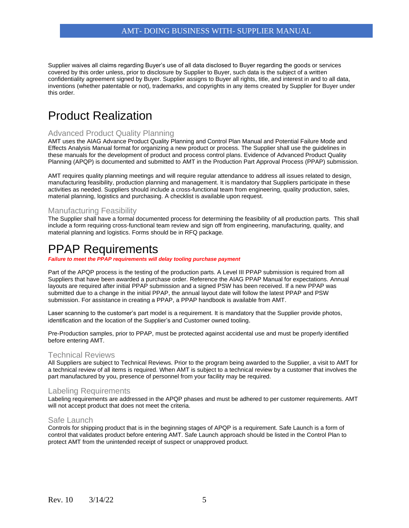Supplier waives all claims regarding Buyer's use of all data disclosed to Buyer regarding the goods or services covered by this order unless, prior to disclosure by Supplier to Buyer, such data is the subject of a written confidentiality agreement signed by Buyer. Supplier assigns to Buyer all rights, title, and interest in and to all data, inventions (whether patentable or not), trademarks, and copyrights in any items created by Supplier for Buyer under this order.

### Product Realization

#### Advanced Product Quality Planning

AMT uses the AIAG Advance Product Quality Planning and Control Plan Manual and Potential Failure Mode and Effects Analysis Manual format for organizing a new product or process. The Supplier shall use the guidelines in these manuals for the development of product and process control plans. Evidence of Advanced Product Quality Planning (APQP) is documented and submitted to AMT in the Production Part Approval Process (PPAP) submission.

AMT requires quality planning meetings and will require regular attendance to address all issues related to design, manufacturing feasibility, production planning and management. It is mandatory that Suppliers participate in these activities as needed. Suppliers should include a cross-functional team from engineering, quality production, sales, material planning, logistics and purchasing. A checklist is available upon request.

### Manufacturing Feasibility

The Supplier shall have a formal documented process for determining the feasibility of all production parts. This shall include a form requiring cross-functional team review and sign off from engineering, manufacturing, quality, and material planning and logistics. Forms should be in RFQ package.

### PPAP Requirements

*Failure to meet the PPAP requirements will delay tooling purchase payment*

Part of the APQP process is the testing of the production parts. A Level III PPAP submission is required from all Suppliers that have been awarded a purchase order. Reference the AIAG PPAP Manual for expectations. Annual layouts are required after initial PPAP submission and a signed PSW has been received. If a new PPAP was submitted due to a change in the initial PPAP, the annual layout date will follow the latest PPAP and PSW submission. For assistance in creating a PPAP, a PPAP handbook is available from AMT.

Laser scanning to the customer's part model is a requirement. It is mandatory that the Supplier provide photos, identification and the location of the Supplier's and Customer owned tooling.

Pre-Production samples, prior to PPAP, must be protected against accidental use and must be properly identified before entering AMT.

#### Technical Reviews

All Suppliers are subject to Technical Reviews. Prior to the program being awarded to the Supplier, a visit to AMT for a technical review of all items is required. When AMT is subject to a technical review by a customer that involves the part manufactured by you, presence of personnel from your facility may be required.

#### Labeling Requirements

Labeling requirements are addressed in the APQP phases and must be adhered to per customer requirements. AMT will not accept product that does not meet the criteria.

#### Safe Launch

Controls for shipping product that is in the beginning stages of APQP is a requirement. Safe Launch is a form of control that validates product before entering AMT. Safe Launch approach should be listed in the Control Plan to protect AMT from the unintended receipt of suspect or unapproved product.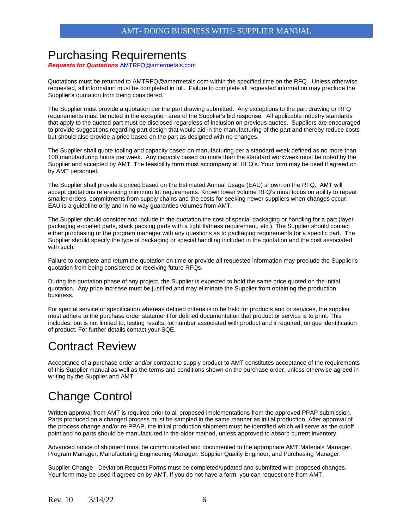### Purchasing Requirements

*Requests for Quotations* [AMTRFQ@amermetals.com](mailto:AMTRFQ@amermetals.com)

Quotations must be returned to AMTRFQ@amermetals.com within the specified time on the RFQ. Unless otherwise requested, all information must be completed in full. Failure to complete all requested information may preclude the Supplier's quotation from being considered.

The Supplier must provide a quotation per the part drawing submitted. Any exceptions to the part drawing or RFQ requirements must be noted in the exception area of the Supplier's bid response. All applicable industry standards that apply to the quoted part must be disclosed regardless of inclusion on previous quotes. Suppliers are encouraged to provide suggestions regarding part design that would aid in the manufacturing of the part and thereby reduce costs but should also provide a price based on the part as designed with no changes.

The Supplier shall quote tooling and capacity based on manufacturing per a standard week defined as no more than 100 manufacturing hours per week. Any capacity based on more than the standard workweek must be noted by the Supplier and accepted by AMT. The feasibility form must accompany all RFQ's. Your form may be used if agreed on by AMT personnel.

The Supplier shall provide a priced based on the Estimated Annual Usage (EAU) shown on the RFQ. AMT will accept quotations referencing minimum lot requirements. Known lower volume RFQ's must focus on ability to repeat smaller orders, commitments from supply chains and the costs for seeking newer suppliers when changes occur. EAU is a guideline only and in no way guaranties volumes from AMT.

The Supplier should consider and include in the quotation the cost of special packaging or handling for a part (layer packaging e-coated parts, stack packing parts with a tight flatness requirement, etc.). The Supplier should contact either purchasing or the program manager with any questions as to packaging requirements for a specific part. The Supplier should specify the type of packaging or special handling included in the quotation and the cost associated with such.

Failure to complete and return the quotation on time or provide all requested information may preclude the Supplier's quotation from being considered or receiving future RFQs.

During the quotation phase of any project, the Supplier is expected to hold the same price quoted on the initial quotation. Any price increase must be justified and may eliminate the Supplier from obtaining the production business.

For special service or specification whereas defined criteria is to be held for products and or services, the supplier must adhere to the purchase order statement for defined documentation that product or service is to print. This includes, but is not limited to, testing results, lot number associated with product and if required, unique identification of product. For further details contact your SQE.

### Contract Review

Acceptance of a purchase order and/or contract to supply product to AMT constitutes acceptance of the requirements of this Supplier manual as well as the terms and conditions shown on the purchase order, unless otherwise agreed in writing by the Supplier and AMT.

# Change Control

Written approval from AMT is required prior to all proposed implementations from the approved PPAP submission. Parts produced on a changed process must be sampled in the same manner as initial production. After approval of the process change and/or re-PPAP, the initial production shipment must be identified which will serve as the cutoff point and no parts should be manufactured in the older method, unless approved to absorb current inventory.

Advanced notice of shipment must be communicated and documented to the appropriate AMT Materials Manager, Program Manager, Manufacturing Engineering Manager, Supplier Quality Engineer, and Purchasing Manager.

Supplier Change - Deviation Request Forms must be completed/updated and submitted with proposed changes. Your form may be used if agreed on by AMT. If you do not have a form, you can request one from AMT.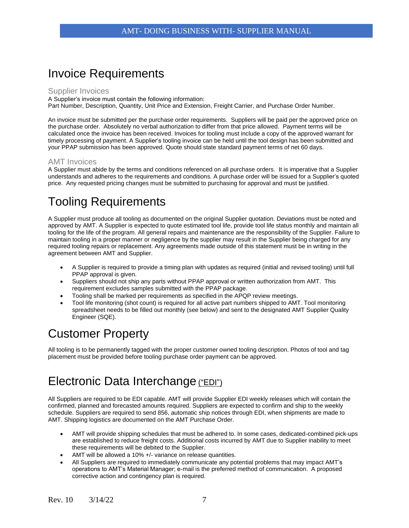### Invoice Requirements

#### Supplier Invoices

A Supplier's invoice must contain the following information: Part Number, Description, Quantity, Unit Price and Extension, Freight Carrier, and Purchase Order Number.

An invoice must be submitted per the purchase order requirements. Suppliers will be paid per the approved price on the purchase order. Absolutely no verbal authorization to differ from that price allowed. Payment terms will be calculated once the invoice has been received. Invoices for tooling must include a copy of the approved warrant for timely processing of payment. A Supplier's tooling invoice can be held until the tool design has been submitted and your PPAP submission has been approved. Quote should state standard payment terms of net 60 days.

### AMT Invoices

A Supplier must abide by the terms and conditions referenced on all purchase orders. It is imperative that a Supplier understands and adheres to the requirements and conditions. A purchase order will be issued for a Supplier's quoted price. Any requested pricing changes must be submitted to purchasing for approval and must be justified.

# Tooling Requirements

A Supplier must produce all tooling as documented on the original Supplier quotation. Deviations must be noted and approved by AMT. A Supplier is expected to quote estimated tool life, provide tool life status monthly and maintain all tooling for the life of the program. All general repairs and maintenance are the responsibility of the Supplier. Failure to maintain tooling in a proper manner or negligence by the supplier may result in the Supplier being charged for any required tooling repairs or replacement. Any agreements made outside of this statement must be in writing in the agreement between AMT and Supplier.

- A Supplier is required to provide a timing plan with updates as required (initial and revised tooling) until full PPAP approval is given.
- Suppliers should not ship any parts without PPAP approval or written authorization from AMT. This requirement excludes samples submitted with the PPAP package.
- Tooling shall be marked per requirements as specified in the APQP review meetings.
- Tool life monitoring (shot count) is required for all active part numbers shipped to AMT. Tool monitoring spreadsheet needs to be filled out monthly (see below) and sent to the designated AMT Supplier Quality Engineer (SQE).

# Customer Property

All tooling is to be permanently tagged with the proper customer owned tooling description. Photos of tool and tag placement must be provided before tooling purchase order payment can be approved.

## Electronic Data Interchange ("EDI")

All Suppliers are required to be EDI capable. AMT will provide Supplier EDI weekly releases which will contain the confirmed, planned and forecasted amounts required. Suppliers are expected to confirm and ship to the weekly schedule. Suppliers are required to send 856, automatic ship notices through EDI, when shipments are made to AMT. Shipping logistics are documented on the AMT Purchase Order.

- AMT will provide shipping schedules that must be adhered to. In some cases, dedicated-combined pick-ups are established to reduce freight costs. Additional costs incurred by AMT due to Supplier inability to meet these requirements will be debited to the Supplier.
- AMT will be allowed a 10% +/- variance on release quantities.
- All Suppliers are required to immediately communicate any potential problems that may impact AMT's operations to AMT's Material Manager; e-mail is the preferred method of communication. A proposed corrective action and contingency plan is required.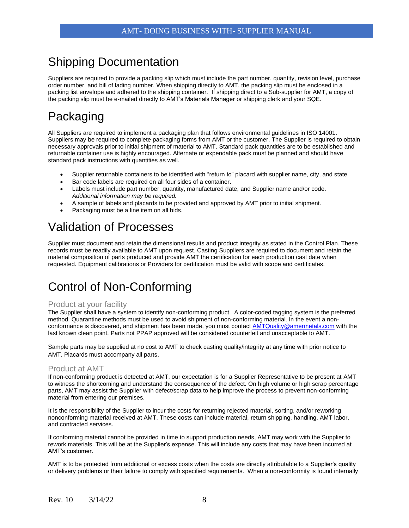### Shipping Documentation

Suppliers are required to provide a packing slip which must include the part number, quantity, revision level, purchase order number, and bill of lading number. When shipping directly to AMT, the packing slip must be enclosed in a packing list envelope and adhered to the shipping container. If shipping direct to a Sub-supplier for AMT, a copy of the packing slip must be e-mailed directly to AMT's Materials Manager or shipping clerk and your SQE.

# Packaging

All Suppliers are required to implement a packaging plan that follows environmental guidelines in ISO 14001. Suppliers may be required to complete packaging forms from AMT or the customer. The Supplier is required to obtain necessary approvals prior to initial shipment of material to AMT. Standard pack quantities are to be established and returnable container use is highly encouraged. Alternate or expendable pack must be planned and should have standard pack instructions with quantities as well.

- Supplier returnable containers to be identified with "return to" placard with supplier name, city, and state
- Bar code labels are required on all four sides of a container.
- Labels must include part number, quantity, manufactured date, and Supplier name and/or code. *Additional information may be required.*
- A sample of labels and placards to be provided and approved by AMT prior to initial shipment.
- Packaging must be a line item on all bids.

# Validation of Processes

Supplier must document and retain the dimensional results and product integrity as stated in the Control Plan. These records must be readily available to AMT upon request. Casting Suppliers are required to document and retain the material composition of parts produced and provide AMT the certification for each production cast date when requested. Equipment calibrations or Providers for certification must be valid with scope and certificates.

# Control of Non-Conforming

#### Product at your facility

The Supplier shall have a system to identify non-conforming product. A color-coded tagging system is the preferred method. Quarantine methods must be used to avoid shipment of non-conforming material. In the event a non-conformance is discovered, and shipment has been made, you must contact [AMTQuality@amermetals.com](mailto:AMTQuality@amermetals.com) with the last known clean point. Parts not PPAP approved will be considered counterfeit and unacceptable to AMT.

Sample parts may be supplied at no cost to AMT to check casting quality/integrity at any time with prior notice to AMT. Placards must accompany all parts.

#### Product at AMT

If non-conforming product is detected at AMT, our expectation is for a Supplier Representative to be present at AMT to witness the shortcoming and understand the consequence of the defect. On high volume or high scrap percentage parts, AMT may assist the Supplier with defect/scrap data to help improve the process to prevent non-conforming material from entering our premises.

It is the responsibility of the Supplier to incur the costs for returning rejected material, sorting, and/or reworking nonconforming material received at AMT. These costs can include material, return shipping, handling, AMT labor, and contracted services.

If conforming material cannot be provided in time to support production needs, AMT may work with the Supplier to rework materials. This will be at the Supplier's expense. This will include any costs that may have been incurred at AMT's customer.

AMT is to be protected from additional or excess costs when the costs are directly attributable to a Supplier's quality or delivery problems or their failure to comply with specified requirements. When a non-conformity is found internally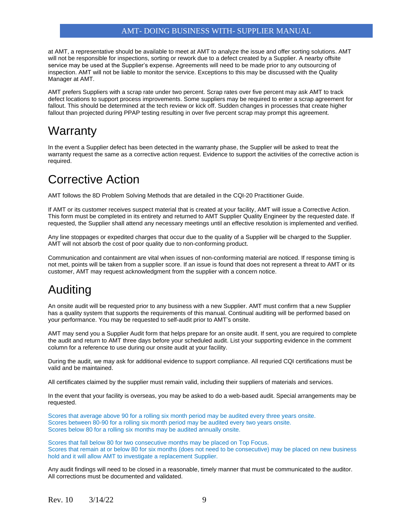### AMT- DOING BUSINESS WITH- SUPPLIER MANUAL

at AMT, a representative should be available to meet at AMT to analyze the issue and offer sorting solutions. AMT will not be responsible for inspections, sorting or rework due to a defect created by a Supplier. A nearby offsite service may be used at the Supplier's expense. Agreements will need to be made prior to any outsourcing of inspection. AMT will not be liable to monitor the service. Exceptions to this may be discussed with the Quality Manager at AMT.

AMT prefers Suppliers with a scrap rate under two percent. Scrap rates over five percent may ask AMT to track defect locations to support process improvements. Some suppliers may be required to enter a scrap agreement for fallout. This should be determined at the tech review or kick off. Sudden changes in processes that create higher fallout than projected during PPAP testing resulting in over five percent scrap may prompt this agreement.

### **Warranty**

In the event a Supplier defect has been detected in the warranty phase, the Supplier will be asked to treat the warranty request the same as a corrective action request. Evidence to support the activities of the corrective action is required.

### Corrective Action

AMT follows the 8D Problem Solving Methods that are detailed in the CQI-20 Practitioner Guide.

If AMT or its customer receives suspect material that is created at your facility, AMT will issue a Corrective Action. This form must be completed in its entirety and returned to AMT Supplier Quality Engineer by the requested date. If requested, the Supplier shall attend any necessary meetings until an effective resolution is implemented and verified.

Any line stoppages or expedited charges that occur due to the quality of a Supplier will be charged to the Supplier. AMT will not absorb the cost of poor quality due to non-conforming product.

Communication and containment are vital when issues of non-conforming material are noticed. If response timing is not met, points will be taken from a supplier score. If an issue is found that does not represent a threat to AMT or its customer, AMT may request acknowledgment from the supplier with a concern notice.

# Auditing

An onsite audit will be requested prior to any business with a new Supplier. AMT must confirm that a new Supplier has a quality system that supports the requirements of this manual. Continual auditing will be performed based on your performance. You may be requested to self-audit prior to AMT's onsite.

AMT may send you a Supplier Audit form that helps prepare for an onsite audit. If sent, you are required to complete the audit and return to AMT three days before your scheduled audit. List your supporting evidence in the comment column for a reference to use during our onsite audit at your facility.

During the audit, we may ask for additional evidence to support compliance. All requried CQI certifications must be valid and be maintained.

All certificates claimed by the supplier must remain valid, including their suppliers of materials and services.

In the event that your facility is overseas, you may be asked to do a web-based audit. Special arrangements may be requested.

Scores that average above 90 for a rolling six month period may be audited every three years onsite. Scores between 80-90 for a rolling six month period may be audited every two years onsite. Scores below 80 for a rolling six months may be audited annually onsite.

Scores that fall below 80 for two consecutive months may be placed on Top Focus. Scores that remain at or below 80 for six months (does not need to be consecutive) may be placed on new business hold and it will allow AMT to investigate a replacement Supplier.

Any audit findings will need to be closed in a reasonable, timely manner that must be communicated to the auditor. All corrections must be documented and validated.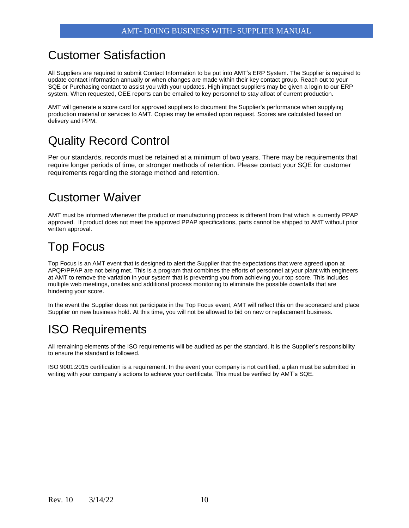### Customer Satisfaction

All Suppliers are required to submit Contact Information to be put into AMT's ERP System. The Supplier is required to update contact information annually or when changes are made within their key contact group. Reach out to your SQE or Purchasing contact to assist you with your updates. High impact suppliers may be given a login to our ERP system. When requested, OEE reports can be emailed to key personnel to stay afloat of current production.

AMT will generate a score card for approved suppliers to document the Supplier's performance when supplying production material or services to AMT. Copies may be emailed upon request. Scores are calculated based on delivery and PPM.

# Quality Record Control

Per our standards, records must be retained at a minimum of two years. There may be requirements that require longer periods of time, or stronger methods of retention. Please contact your SQE for customer requirements regarding the storage method and retention.

### Customer Waiver

AMT must be informed whenever the product or manufacturing process is different from that which is currently PPAP approved. If product does not meet the approved PPAP specifications, parts cannot be shipped to AMT without prior written approval.

### Top Focus

Top Focus is an AMT event that is designed to alert the Supplier that the expectations that were agreed upon at APQP/PPAP are not being met. This is a program that combines the efforts of personnel at your plant with engineers at AMT to remove the variation in your system that is preventing you from achieving your top score. This includes multiple web meetings, onsites and additional process monitoring to eliminate the possible downfalls that are hindering your score.

In the event the Supplier does not participate in the Top Focus event, AMT will reflect this on the scorecard and place Supplier on new business hold. At this time, you will not be allowed to bid on new or replacement business.

## ISO Requirements

All remaining elements of the ISO requirements will be audited as per the standard. It is the Supplier's responsibility to ensure the standard is followed.

ISO 9001:2015 certification is a requirement. In the event your company is not certified, a plan must be submitted in writing with your company's actions to achieve your certificate. This must be verified by AMT's SQE.